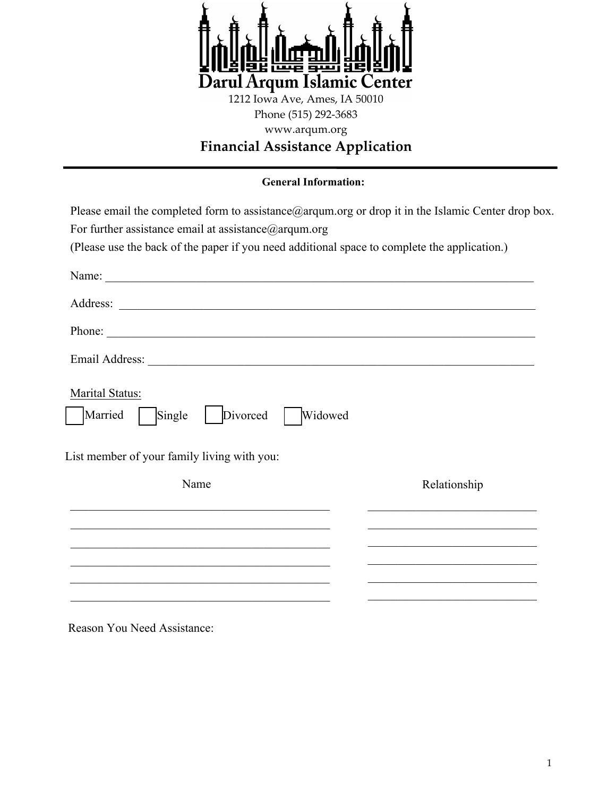

Phone (515) 292-3683 www.arqum.org

# **Financial Assistance Application**

### **General Information:**

| Please email the completed form to assistance $@$ argum org or drop it in the Islamic Center drop box.<br>For further assistance email at assistance $@$ argum.org<br>(Please use the back of the paper if you need additional space to complete the application.) |                                                                                                                                                                         |
|--------------------------------------------------------------------------------------------------------------------------------------------------------------------------------------------------------------------------------------------------------------------|-------------------------------------------------------------------------------------------------------------------------------------------------------------------------|
|                                                                                                                                                                                                                                                                    |                                                                                                                                                                         |
|                                                                                                                                                                                                                                                                    |                                                                                                                                                                         |
|                                                                                                                                                                                                                                                                    |                                                                                                                                                                         |
|                                                                                                                                                                                                                                                                    |                                                                                                                                                                         |
| Marital Status:<br>Married<br>Divorced<br>Single<br>Widowed<br>List member of your family living with you:                                                                                                                                                         |                                                                                                                                                                         |
| Name                                                                                                                                                                                                                                                               | Relationship                                                                                                                                                            |
| <u> 1969 - Johann Johann Stoff, deutscher Stoff und der Stoff und der Stoff und der Stoff und der Stoff und der S</u>                                                                                                                                              | the control of the control of the control of the control of the control of the control of<br>the control of the control of the control of the control of the control of |
|                                                                                                                                                                                                                                                                    |                                                                                                                                                                         |
|                                                                                                                                                                                                                                                                    |                                                                                                                                                                         |
|                                                                                                                                                                                                                                                                    |                                                                                                                                                                         |

Reason You Need Assistance: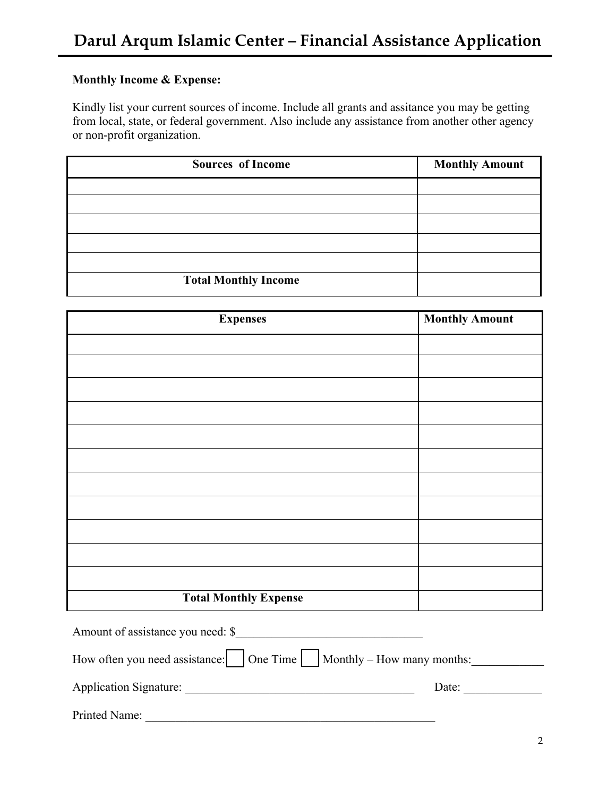## **Monthly Income & Expense:**

Kindly list your current sources of income. Include all grants and assitance you may be getting from local, state, or federal government. Also include any assistance from another other agency or non-profit organization.

| <b>Sources of Income</b>    | <b>Monthly Amount</b> |
|-----------------------------|-----------------------|
|                             |                       |
|                             |                       |
|                             |                       |
|                             |                       |
|                             |                       |
| <b>Total Monthly Income</b> |                       |

| <b>Expenses</b>              | <b>Monthly Amount</b> |
|------------------------------|-----------------------|
|                              |                       |
|                              |                       |
|                              |                       |
|                              |                       |
|                              |                       |
|                              |                       |
|                              |                       |
|                              |                       |
|                              |                       |
|                              |                       |
|                              |                       |
| <b>Total Monthly Expense</b> |                       |

| Amount of assistance you need: \$                                                                  |       |
|----------------------------------------------------------------------------------------------------|-------|
| How often you need assistance: $\vert$ $\vert$ One Time $\vert$ $\vert$ Monthly – How many months: |       |
| <b>Application Signature:</b>                                                                      | Date: |
| Printed Name:                                                                                      |       |